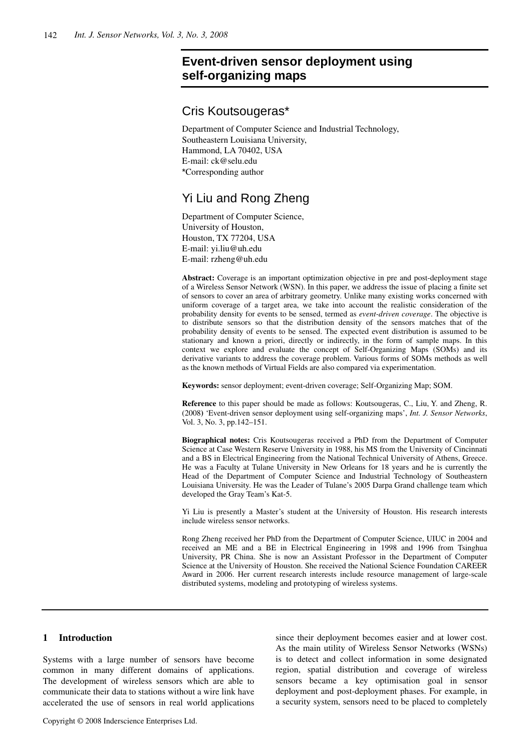# **Event-driven sensor deployment using self-organizing maps**

# Cris Koutsougeras\*

Department of Computer Science and Industrial Technology, Southeastern Louisiana University, Hammond, LA 70402, USA E-mail: ck@selu.edu \*Corresponding author

# Yi Liu and Rong Zheng

Department of Computer Science, University of Houston, Houston, TX 77204, USA E-mail: yi.liu@uh.edu E-mail: rzheng@uh.edu

**Abstract:** Coverage is an important optimization objective in pre and post-deployment stage of a Wireless Sensor Network (WSN). In this paper, we address the issue of placing a finite set of sensors to cover an area of arbitrary geometry. Unlike many existing works concerned with uniform coverage of a target area, we take into account the realistic consideration of the probability density for events to be sensed, termed as *event-driven coverage*. The objective is to distribute sensors so that the distribution density of the sensors matches that of the probability density of events to be sensed. The expected event distribution is assumed to be stationary and known a priori, directly or indirectly, in the form of sample maps. In this context we explore and evaluate the concept of Self-Organizing Maps (SOMs) and its derivative variants to address the coverage problem. Various forms of SOMs methods as well as the known methods of Virtual Fields are also compared via experimentation.

**Keywords:** sensor deployment; event-driven coverage; Self-Organizing Map; SOM.

**Reference** to this paper should be made as follows: Koutsougeras, C., Liu, Y. and Zheng, R. (2008**)** 'Event-driven sensor deployment using self-organizing maps', *Int. J. Sensor Networks*, Vol. 3, No. 3, pp.142–151.

**Biographical notes:** Cris Koutsougeras received a PhD from the Department of Computer Science at Case Western Reserve University in 1988, his MS from the University of Cincinnati and a BS in Electrical Engineering from the National Technical University of Athens, Greece. He was a Faculty at Tulane University in New Orleans for 18 years and he is currently the Head of the Department of Computer Science and Industrial Technology of Southeastern Louisiana University. He was the Leader of Tulane's 2005 Darpa Grand challenge team which developed the Gray Team's Kat-5.

Yi Liu is presently a Master's student at the University of Houston. His research interests include wireless sensor networks.

Rong Zheng received her PhD from the Department of Computer Science, UIUC in 2004 and received an ME and a BE in Electrical Engineering in 1998 and 1996 from Tsinghua University, PR China. She is now an Assistant Professor in the Department of Computer Science at the University of Houston. She received the National Science Foundation CAREER Award in 2006. Her current research interests include resource management of large-scale distributed systems, modeling and prototyping of wireless systems.

### **1 Introduction**

Systems with a large number of sensors have become common in many different domains of applications. The development of wireless sensors which are able to communicate their data to stations without a wire link have accelerated the use of sensors in real world applications

since their deployment becomes easier and at lower cost. As the main utility of Wireless Sensor Networks (WSNs) is to detect and collect information in some designated region, spatial distribution and coverage of wireless sensors became a key optimisation goal in sensor deployment and post-deployment phases. For example, in a security system, sensors need to be placed to completely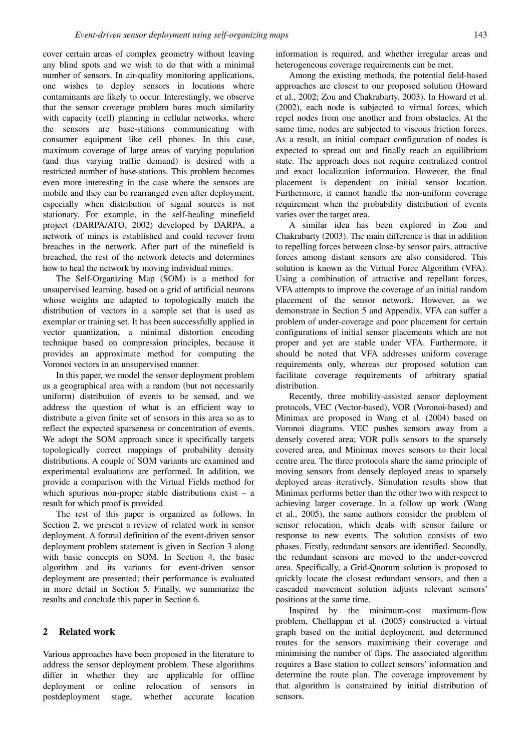cover certain areas of complex geometry without leaving any blind spots and we wish to do that with a minimal number of sensors. In air-quality monitoring applications, one wishes to deploy sensors in locations where contaminants are likely to occur. Interestingly, we observe that the sensor coverage problem bares much similarity with capacity (cell) planning in cellular networks, where the sensors are base-stations communicating with consumer equipment like cell phones. In this case, maximum coverage of large areas of varying population (and thus varying traffic demand) is desired with a restricted number of base-stations. This problem becomes even more interesting in the case where the sensors are mobile and they can be rearranged even after deployment, especially when distribution of signal sources is not stationary. For example, in the self-healing minefield project (DARPA/ATO, 2002) developed by DARPA, a network of mines is established and could recover from breaches in the network. After part of the minefield is breached, the rest of the network detects and determines how to heal the network by moving individual mines.

The Self-Organizing Map (SOM) is a method for unsupervised learning, based on a grid of artificial neurons whose weights are adapted to topologically match the distribution of vectors in a sample set that is used as exemplar or training set. It has been successfully applied in vector quantization, a minimal distortion encoding technique based on compression principles, because it provides an approximate method for computing the Voronoi vectors in an unsupervised manner.

In this paper, we model the sensor deployment problem as a geographical area with a random (but not necessarily uniform) distribution of events to be sensed, and we address the question of what is an efficient way to distribute a given finite set of sensors in this area so as to reflect the expected sparseness or concentration of events. We adopt the SOM approach since it specifically targets topologically correct mappings of probability density distributions. A couple of SOM variants are examined and experimental evaluations are performed. In addition, we provide a comparison with the Virtual Fields method for which spurious non-proper stable distributions exist – a result for which proof is provided.

The rest of this paper is organized as follows. In Section 2, we present a review of related work in sensor deployment. A formal definition of the event-driven sensor deployment problem statement is given in Section 3 along with basic concepts on SOM. In Section 4, the basic algorithm and its variants for event-driven sensor deployment are presented; their performance is evaluated in more detail in Section 5. Finally, we summarize the results and conclude this paper in Section 6.

### **2 Related work**

Various approaches have been proposed in the literature to address the sensor deployment problem. These algorithms differ in whether they are applicable for offline deployment or online relocation of sensors in postdeployment stage, whether accurate location information is required, and whether irregular areas and heterogeneous coverage requirements can be met.

Among the existing methods, the potential field-based approaches are closest to our proposed solution (Howard et al., 2002; Zou and Chakrabarty, 2003). In Howard et al. (2002), each node is subjected to virtual forces, which repel nodes from one another and from obstacles. At the same time, nodes are subjected to viscous friction forces. As a result, an initial compact configuration of nodes is expected to spread out and finally reach an equilibrium state. The approach does not require centralized control and exact localization information. However, the final placement is dependent on initial sensor location. Furthermore, it cannot handle the non-uniform coverage requirement when the probability distribution of events varies over the target area.

A similar idea has been explored in Zou and Chakrabarty (2003). The main difference is that in addition to repelling forces between close-by sensor pairs, attractive forces among distant sensors are also considered. This solution is known as the Virtual Force Algorithm (VFA). Using a combination of attractive and repellant forces, VFA attempts to improve the coverage of an initial random placement of the sensor network. However, as we demonstrate in Section 5 and Appendix, VFA can suffer a problem of under-coverage and poor placement for certain configurations of initial sensor placements which are not proper and yet are stable under VFA. Furthermore, it should be noted that VFA addresses uniform coverage requirements only, whereas our proposed solution can facilitate coverage requirements of arbitrary spatial distribution.

Recently, three mobility-assisted sensor deployment protocols, VEC (Vector-based), VOR (Voronoi-based) and Minimax are proposed in Wang et al. (2004) based on Voronoi diagrams. VEC pushes sensors away from a densely covered area; VOR pulls sensors to the sparsely covered area, and Minimax moves sensors to their local centre area. The three protocols share the same principle of moving sensors from densely deployed areas to sparsely deployed areas iteratively. Simulation results show that Minimax performs better than the other two with respect to achieving larger coverage. In a follow up work (Wang et al., 2005), the same authors consider the problem of sensor relocation, which deals with sensor failure or response to new events. The solution consists of two phases. Firstly, redundant sensors are identified. Secondly, the redundant sensors are moved to the under-covered area. Specifically, a Grid-Quorum solution is proposed to quickly locate the closest redundant sensors, and then a cascaded movement solution adjusts relevant sensors' positions at the same time.

Inspired by the minimum-cost maximum-flow problem, Chellappan et al. (2005) constructed a virtual graph based on the initial deployment, and determined routes for the sensors maximising their coverage and minimising the number of flips. The associated algorithm requires a Base station to collect sensors' information and determine the route plan. The coverage improvement by that algorithm is constrained by initial distribution of sensors.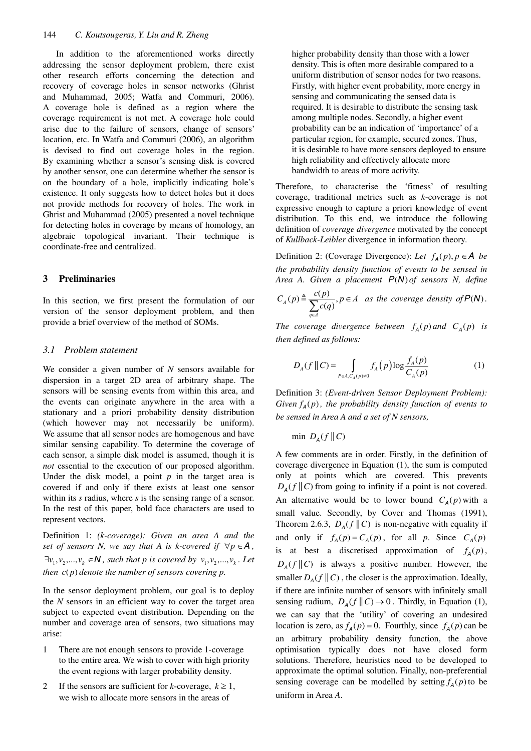In addition to the aforementioned works directly addressing the sensor deployment problem, there exist other research efforts concerning the detection and recovery of coverage holes in sensor networks (Ghrist and Muhammad, 2005; Watfa and Commuri, 2006). A coverage hole is defined as a region where the coverage requirement is not met. A coverage hole could arise due to the failure of sensors, change of sensors' location, etc. In Watfa and Commuri (2006), an algorithm is devised to find out coverage holes in the region. By examining whether a sensor's sensing disk is covered by another sensor, one can determine whether the sensor is on the boundary of a hole, implicitly indicating hole's existence. It only suggests how to detect holes but it does not provide methods for recovery of holes. The work in Ghrist and Muhammad (2005) presented a novel technique for detecting holes in coverage by means of homology, an algebraic topological invariant. Their technique is coordinate-free and centralized.

#### **3 Preliminaries**

In this section, we first present the formulation of our version of the sensor deployment problem, and then provide a brief overview of the method of SOMs.

#### *3.1 Problem statement*

We consider a given number of *N* sensors available for dispersion in a target 2D area of arbitrary shape. The sensors will be sensing events from within this area, and the events can originate anywhere in the area with a stationary and a priori probability density distribution (which however may not necessarily be uniform). We assume that all sensor nodes are homogenous and have similar sensing capability. To determine the coverage of each sensor, a simple disk model is assumed, though it is *not* essential to the execution of our proposed algorithm. Under the disk model, a point  $p$  in the target area is covered if and only if there exists at least one sensor within its *s* radius, where *s* is the sensing range of a sensor. In the rest of this paper, bold face characters are used to represent vectors.

Definition 1: *(k-coverage): Given an area A and the set of sensors N, we say that A is k-covered if*  $\forall p \in A$ ,  $\exists v_1, v_2, \ldots, v_k \in \mathbb{N}$ , such that p is covered by  $v_1, v_2, \ldots, v_k$ . Let *then*  $c(p)$  *denote the number of sensors covering p.* 

In the sensor deployment problem, our goal is to deploy the *N* sensors in an efficient way to cover the target area subject to expected event distribution. Depending on the number and coverage area of sensors, two situations may arise:

- 1 There are not enough sensors to provide 1-coverage to the entire area. We wish to cover with high priority the event regions with larger probability density.
- 2 If the sensors are sufficient for *k*-coverage,  $k \ge 1$ , we wish to allocate more sensors in the areas of

higher probability density than those with a lower density. This is often more desirable compared to a uniform distribution of sensor nodes for two reasons. Firstly, with higher event probability, more energy in sensing and communicating the sensed data is required. It is desirable to distribute the sensing task among multiple nodes. Secondly, a higher event probability can be an indication of 'importance' of a particular region, for example, secured zones. Thus, it is desirable to have more sensors deployed to ensure high reliability and effectively allocate more bandwidth to areas of more activity.

Therefore, to characterise the 'fitness' of resulting coverage, traditional metrics such as *k*-coverage is not expressive enough to capture a priori knowledge of event distribution. To this end, we introduce the following definition of *coverage divergence* motivated by the concept of *Kullback-Leibler* divergence in information theory.

Definition 2: (Coverage Divergence): *Let*  $f_A(p), p \in A$  *be the probability density function of events to be sensed in Area A. Given a placement*  $P(N)$  *of sensors N, define* 

$$
C_A(p) \triangleq \frac{c(p)}{\sum_{q \in A} c(q)}, p \in A \text{ as the coverage density of } P(N).
$$

*The coverage divergence between*  $f_A(p)$  *and*  $C_A(p)$  *is then defined as follows:* 

$$
D_{A}(f \| C) = \int_{P \in A, C_{A}(p) \neq 0} f_{A}(p) \log \frac{f_{A}(p)}{C_{A}(p)}
$$
(1)

Definition 3: *(Event-driven Sensor Deployment Problem): Given*  $f_A(p)$ *, the probability density function of events to be sensed in Area A and a set of N sensors,* 

min  $D_{\alpha}(f \parallel C)$ 

A few comments are in order. Firstly, in the definition of coverage divergence in Equation (1), the sum is computed only at points which are covered. This prevents  $D_A(f \| C)$  from going to infinity if a point is not covered. An alternative would be to lower bound  $C_A(p)$  with a small value. Secondly, by Cover and Thomas (1991), Theorem 2.6.3,  $D_A(f \| C)$  is non-negative with equality if and only if  $f_A(p) = C_A(p)$ , for all *p*. Since  $C_A(p)$ is at best a discretised approximation of  $f_A(p)$ ,  $D_{\alpha}(f||C)$  is always a positive number. However, the smaller  $D_{\alpha}(f||C)$ , the closer is the approximation. Ideally, if there are infinite number of sensors with infinitely small sensing radium,  $D_A(f \| C) \rightarrow 0$ . Thirdly, in Equation (1), we can say that the 'utility' of covering an undesired location is zero, as  $f_A(p) = 0$ . Fourthly, since  $f_A(p)$  can be an arbitrary probability density function, the above optimisation typically does not have closed form solutions. Therefore, heuristics need to be developed to approximate the optimal solution. Finally, non-preferential sensing coverage can be modelled by setting  $f_A(p)$  to be uniform in Area *A*.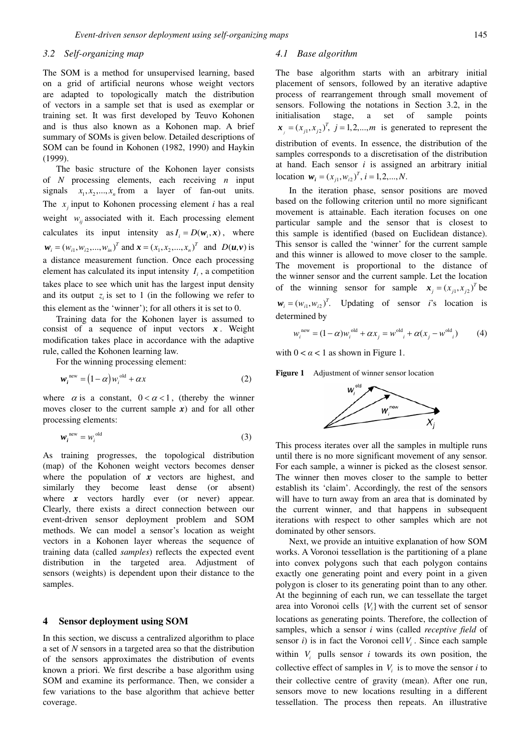#### *3.2 Self-organizing map*

The SOM is a method for unsupervised learning, based on a grid of artificial neurons whose weight vectors are adapted to topologically match the distribution of vectors in a sample set that is used as exemplar or training set. It was first developed by Teuvo Kohonen and is thus also known as a Kohonen map. A brief summary of SOMs is given below. Detailed descriptions of SOM can be found in Kohonen (1982, 1990) and Haykin (1999).

The basic structure of the Kohonen layer consists of *N* processing elements, each receiving *n* input signals  $x_1, x_2, ..., x_n$  from a layer of fan-out units. The  $x_i$  input to Kohonen processing element *i* has a real weight  $w_{ii}$  associated with it. Each processing element calculates its input intensity as  $I_i = D(w_i, x)$ , where  $W_i = (w_{i1}, w_{i2},..., w_{in})^T$  and  $\mathbf{x} = (x_1, x_2,..., x_n)^T$  and  $D(\mathbf{u}, \mathbf{v})$  is a distance measurement function. Once each processing element has calculated its input intensity  $I_i$ , a competition takes place to see which unit has the largest input density and its output  $z_i$  is set to 1 (in the following we refer to this element as the 'winner'); for all others it is set to 0.

Training data for the Kohonen layer is assumed to consist of a sequence of input vectors  $\boldsymbol{x}$ . Weight modification takes place in accordance with the adaptive rule, called the Kohonen learning law.

For the winning processing element:

$$
w_i^{\text{new}} = (1 - \alpha) w_i^{\text{old}} + \alpha x \tag{2}
$$

where  $\alpha$  is a constant,  $0 < \alpha < 1$ , (thereby the winner moves closer to the current sample *x*) and for all other processing elements:

$$
w_i^{\text{new}} = w_i^{\text{old}} \tag{3}
$$

As training progresses, the topological distribution (map) of the Kohonen weight vectors becomes denser where the population of *x* vectors are highest, and similarly they become least dense (or absent) where *x* vectors hardly ever (or never) appear. Clearly, there exists a direct connection between our event-driven sensor deployment problem and SOM methods. We can model a sensor's location as weight vectors in a Kohonen layer whereas the sequence of training data (called *samples*) reflects the expected event distribution in the targeted area. Adjustment of sensors (weights) is dependent upon their distance to the samples.

#### **4 Sensor deployment using SOM**

In this section, we discuss a centralized algorithm to place a set of *N* sensors in a targeted area so that the distribution of the sensors approximates the distribution of events known a priori. We first describe a base algorithm using SOM and examine its performance. Then, we consider a few variations to the base algorithm that achieve better coverage.

#### *4.1 Base algorithm*

The base algorithm starts with an arbitrary initial placement of sensors, followed by an iterative adaptive process of rearrangement through small movement of sensors. Following the notations in Section 3.2, in the initialisation stage, a set of sample points  $\mathbf{x}_{i} = (x_{i1}, x_{i2})^T$ ,  $j = 1, 2, ..., m$  is generated to represent the distribution of events. In essence, the distribution of the samples corresponds to a discretisation of the distribution at hand. Each sensor *i* is assigned an arbitrary initial location  $\mathbf{w}_i = (x_{j1}, w_{i2})^T, i = 1,2,..., N.$ 

In the iteration phase, sensor positions are moved based on the following criterion until no more significant movement is attainable. Each iteration focuses on one particular sample and the sensor that is closest to this sample is identified (based on Euclidean distance). This sensor is called the 'winner' for the current sample and this winner is allowed to move closer to the sample. The movement is proportional to the distance of the winner sensor and the current sample. Let the location of the winning sensor for sample  $x_j = (x_{j1}, x_{j2})^T$  be  $w_i = (w_{i1}, w_{i2})^T$ . Updating of sensor *i*'s location is determined by

$$
w_i^{\text{new}} = (1 - \alpha) w_i^{\text{old}} + \alpha x_j = w^{\text{old}} + \alpha (x_j - w^{\text{old}})
$$
 (4)

with  $0 < \alpha < 1$  as shown in Figure 1.

**Figure 1** Adjustment of winner sensor location



This process iterates over all the samples in multiple runs until there is no more significant movement of any sensor. For each sample, a winner is picked as the closest sensor. The winner then moves closer to the sample to better establish its 'claim'. Accordingly, the rest of the sensors will have to turn away from an area that is dominated by the current winner, and that happens in subsequent iterations with respect to other samples which are not dominated by other sensors.

Next, we provide an intuitive explanation of how SOM works. A Voronoi tessellation is the partitioning of a plane into convex polygons such that each polygon contains exactly one generating point and every point in a given polygon is closer to its generating point than to any other. At the beginning of each run, we can tessellate the target area into Voronoi cells  $\{V_i\}$  with the current set of sensor locations as generating points. Therefore, the collection of samples, which a sensor *i* wins (called *receptive field* of sensor  $i$ ) is in fact the Voronoi cell  $V_i$ . Since each sample within  $V_i$  pulls sensor  $i$  towards its own position, the collective effect of samples in  $V_i$  is to move the sensor  $i$  to their collective centre of gravity (mean). After one run, sensors move to new locations resulting in a different tessellation. The process then repeats. An illustrative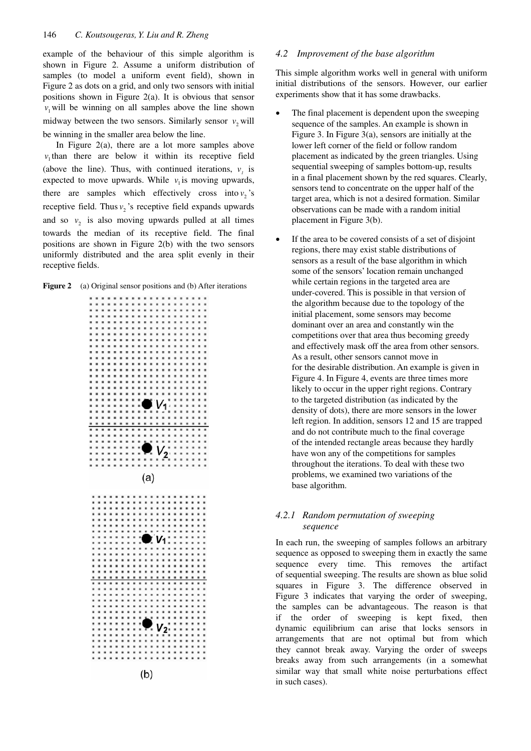example of the behaviour of this simple algorithm is shown in Figure 2. Assume a uniform distribution of samples (to model a uniform event field), shown in Figure 2 as dots on a grid, and only two sensors with initial positions shown in Figure 2(a). It is obvious that sensor  $v_1$  will be winning on all samples above the line shown midway between the two sensors. Similarly sensor  $v$ , will be winning in the smaller area below the line.

In Figure  $2(a)$ , there are a lot more samples above  $v_1$  than there are below it within its receptive field (above the line). Thus, with continued iterations,  $v_i$  is expected to move upwards. While  $v_i$  is moving upwards, there are samples which effectively cross into  $v_2$ 's receptive field. Thus  $v<sub>2</sub>$ 's receptive field expands upwards and so  $v_2$  is also moving upwards pulled at all times towards the median of its receptive field. The final positions are shown in Figure 2(b) with the two sensors uniformly distributed and the area split evenly in their receptive fields.





#### *4.2 Improvement of the base algorithm*

This simple algorithm works well in general with uniform initial distributions of the sensors. However, our earlier experiments show that it has some drawbacks.

- The final placement is dependent upon the sweeping sequence of the samples. An example is shown in Figure 3. In Figure 3(a), sensors are initially at the lower left corner of the field or follow random placement as indicated by the green triangles. Using sequential sweeping of samples bottom-up, results in a final placement shown by the red squares. Clearly, sensors tend to concentrate on the upper half of the target area, which is not a desired formation. Similar observations can be made with a random initial placement in Figure 3(b).
- If the area to be covered consists of a set of disjoint regions, there may exist stable distributions of sensors as a result of the base algorithm in which some of the sensors' location remain unchanged while certain regions in the targeted area are under-covered. This is possible in that version of the algorithm because due to the topology of the initial placement, some sensors may become dominant over an area and constantly win the competitions over that area thus becoming greedy and effectively mask off the area from other sensors. As a result, other sensors cannot move in for the desirable distribution. An example is given in Figure 4. In Figure 4, events are three times more likely to occur in the upper right regions. Contrary to the targeted distribution (as indicated by the density of dots), there are more sensors in the lower left region. In addition, sensors 12 and 15 are trapped and do not contribute much to the final coverage of the intended rectangle areas because they hardly have won any of the competitions for samples throughout the iterations. To deal with these two problems, we examined two variations of the base algorithm.

# *4.2.1 Random permutation of sweeping sequence*

In each run, the sweeping of samples follows an arbitrary sequence as opposed to sweeping them in exactly the same sequence every time. This removes the artifact of sequential sweeping. The results are shown as blue solid squares in Figure 3. The difference observed in Figure 3 indicates that varying the order of sweeping, the samples can be advantageous. The reason is that if the order of sweeping is kept fixed, then dynamic equilibrium can arise that locks sensors in arrangements that are not optimal but from which they cannot break away. Varying the order of sweeps breaks away from such arrangements (in a somewhat similar way that small white noise perturbations effect in such cases).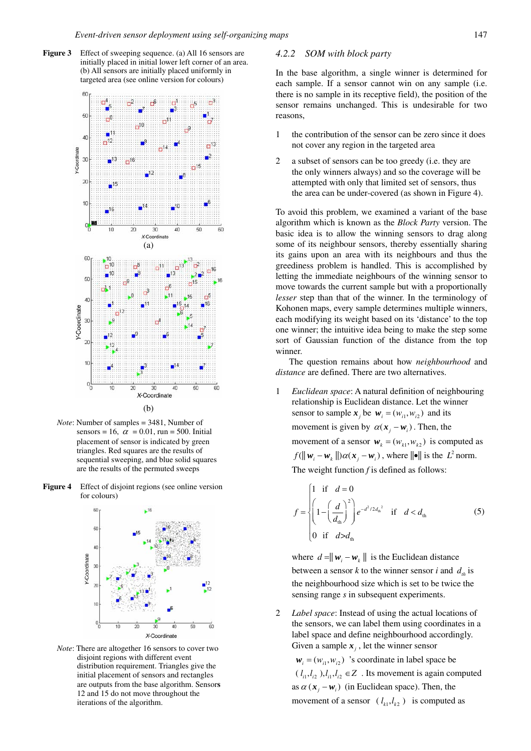**Figure 3** Effect of sweeping sequence. (a) All 16 sensors are initially placed in initial lower left corner of an area. (b) All sensors are initially placed uniformly in targeted area (see online version for colours)



- *Note*: Number of samples = 3481, Number of sensors = 16,  $\alpha$  = 0.01, run = 500. Initial placement of sensor is indicated by green triangles. Red squares are the results of sequential sweeping, and blue solid squares are the results of the permuted sweeps
- **Figure 4** Effect of disjoint regions (see online version for colours)



 *Note*: There are altogether 16 sensors to cover two disjoint regions with different event distribution requirement. Triangles give the initial placement of sensors and rectangles are outputs from the base algorithm. Sensor**s** 12 and 15 do not move throughout the iterations of the algorithm.

#### *4.2.2 SOM with block party*

In the base algorithm, a single winner is determined for each sample. If a sensor cannot win on any sample (i.e. there is no sample in its receptive field), the position of the sensor remains unchanged. This is undesirable for two reasons,

- 1 the contribution of the sensor can be zero since it does not cover any region in the targeted area
- 2 a subset of sensors can be too greedy (i.e. they are the only winners always) and so the coverage will be attempted with only that limited set of sensors, thus the area can be under-covered (as shown in Figure 4).

To avoid this problem, we examined a variant of the base algorithm which is known as the *Block Party* version. The basic idea is to allow the winning sensors to drag along some of its neighbour sensors, thereby essentially sharing its gains upon an area with its neighbours and thus the greediness problem is handled. This is accomplished by letting the immediate neighbours of the winning sensor to move towards the current sample but with a proportionally *lesser* step than that of the winner. In the terminology of Kohonen maps, every sample determines multiple winners, each modifying its weight based on its 'distance' to the top one winner; the intuitive idea being to make the step some sort of Gaussian function of the distance from the top winner.

The question remains about how *neighbourhood* and *distance* are defined. There are two alternatives.

1 *Euclidean space*: A natural definition of neighbouring relationship is Euclidean distance. Let the winner sensor to sample  $\mathbf{x}_i$  be  $\mathbf{w}_i = (w_{i1}, w_{i2})$  and its movement is given by  $\alpha ( x_i - w_i )$ . Then, the movement of a sensor  $w_k = (w_{k1}, w_{k2})$  is computed as  $f(||\mathbf{w}_i - \mathbf{w}_k||)\alpha(\mathbf{x}_i - \mathbf{w}_i)$ , where  $||\mathbf{e}||$  is the  $L^2$  norm. The weight function *f* is defined as follows:

$$
f = \begin{cases} 1 & \text{if } d = 0 \\ \left( 1 - \left( \frac{d}{d_{\text{th}}} \right)^2 \right) e^{-d^2/2d_{\text{th}}^2} & \text{if } d < d_{\text{th}} \\ 0 & \text{if } d > d_{\text{th}} \end{cases}
$$
 (5)

where  $d = || w_i - w_k ||$  is the Euclidean distance between a sensor *k* to the winner sensor *i* and  $d_{th}$  is the neighbourhood size which is set to be twice the sensing range *s* in subsequent experiments.

2 *Label space*: Instead of using the actual locations of the sensors, we can label them using coordinates in a label space and define neighbourhood accordingly. Given a sample  $x_j$ , let the winner sensor

 $w_i = (w_{i1}, w_{i2})$  's coordinate in label space be  $(l_{i_1}, l_{i_2}), l_{i_1}, l_{i_2} \in \mathbb{Z}$ . Its movement is again computed as  $\alpha$  ( $\mathbf{x}_i - \mathbf{w}_i$ ) (in Euclidean space). Then, the movement of a sensor  $(l_{k1}, l_{k2})$  is computed as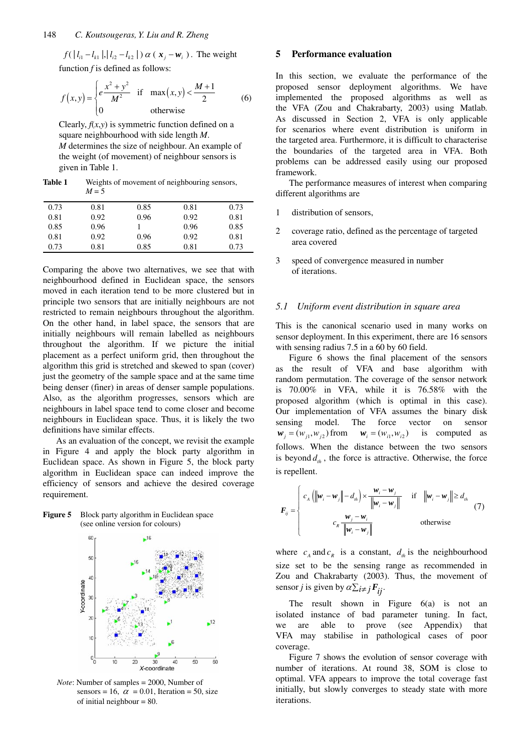$f(|l_{i1} - l_{k1}|, |l_{i2} - l_{k2}|) \alpha(x_i - w_i)$ . The weight function *f* is defined as follows:

$$
f(x,y) = \begin{cases} e^{\frac{x^2 + y^2}{M^2}} & \text{if } \max(x,y) < \frac{M+1}{2} \\ 0 & \text{otherwise} \end{cases}
$$
 (6)

Clearly,  $f(x, y)$  is symmetric function defined on a square neighbourhood with side length *M*. *M* determines the size of neighbour. An example of the weight (of movement) of neighbour sensors is given in Table 1.

**Table 1** Weights of movement of neighbouring sensors,  $M = 5$ 

| 0.73 | 0.81 | 0.85 | 0.81 | 0.73 |
|------|------|------|------|------|
| 0.81 | 0.92 | 0.96 | 0.92 | 0.81 |
| 0.85 | 0.96 |      | 0.96 | 0.85 |
| 0.81 | 0.92 | 0.96 | 0.92 | 0.81 |
| 0.73 | 0.81 | 0.85 | 0.81 | 0.73 |

Comparing the above two alternatives, we see that with neighbourhood defined in Euclidean space, the sensors moved in each iteration tend to be more clustered but in principle two sensors that are initially neighbours are not restricted to remain neighbours throughout the algorithm. On the other hand, in label space, the sensors that are initially neighbours will remain labelled as neighbours throughout the algorithm. If we picture the initial placement as a perfect uniform grid, then throughout the algorithm this grid is stretched and skewed to span (cover) just the geometry of the sample space and at the same time being denser (finer) in areas of denser sample populations. Also, as the algorithm progresses, sensors which are neighbours in label space tend to come closer and become neighbours in Euclidean space. Thus, it is likely the two definitions have similar effects.

As an evaluation of the concept, we revisit the example in Figure 4 and apply the block party algorithm in Euclidean space. As shown in Figure 5, the block party algorithm in Euclidean space can indeed improve the efficiency of sensors and achieve the desired coverage requirement.

**Figure 5** Block party algorithm in Euclidean space (see online version for colours)



 *Note*: Number of samples = 2000, Number of sensors = 16,  $\alpha$  = 0.01, Iteration = 50, size of initial neighbour  $= 80$ .

#### **5 Performance evaluation**

In this section, we evaluate the performance of the proposed sensor deployment algorithms. We have implemented the proposed algorithms as well as the VFA (Zou and Chakrabarty, 2003) using Matlab. As discussed in Section 2, VFA is only applicable for scenarios where event distribution is uniform in the targeted area. Furthermore, it is difficult to characterise the boundaries of the targeted area in VFA. Both problems can be addressed easily using our proposed framework.

The performance measures of interest when comparing different algorithms are

- 1 distribution of sensors,
- 2 coverage ratio, defined as the percentage of targeted area covered
- 3 speed of convergence measured in number of iterations.

#### *5.1 Uniform event distribution in square area*

This is the canonical scenario used in many works on sensor deployment. In this experiment, there are 16 sensors with sensing radius 7.5 in a 60 by 60 field.

Figure 6 shows the final placement of the sensors as the result of VFA and base algorithm with random permutation. The coverage of the sensor network is 70.00% in VFA, while it is 76.58% with the proposed algorithm (which is optimal in this case). Our implementation of VFA assumes the binary disk sensing model. The force vector on sensor  $\mathbf{w}_i = (w_{i1}, w_{i2})$  from  $\mathbf{w}_i = (w_{i1}, w_{i2})$  is computed as follows. When the distance between the two sensors is beyond  $d<sub>n</sub>$ , the force is attractive. Otherwise, the force is repellent.

$$
\boldsymbol{F}_{ij} = \begin{cases} c_A \left( \left\| \boldsymbol{w}_i - \boldsymbol{w}_j \right\| - d_{ih} \right) \times \frac{\boldsymbol{w}_i - \boldsymbol{w}_j}{\left\| \boldsymbol{w}_i - \boldsymbol{w}_j \right\|} & \text{if } \left\| \boldsymbol{w}_i - \boldsymbol{w}_j \right\| \ge d_{ih} \\ c_R \frac{\boldsymbol{w}_j - \boldsymbol{w}_i}{\left\| \boldsymbol{w}_i - \boldsymbol{w}_j \right\|} & \text{otherwise} \end{cases} \tag{7}
$$

where  $c_A$  and  $c_R$  is a constant,  $d_h$  is the neighbourhood size set to be the sensing range as recommended in Zou and Chakrabarty (2003). Thus, the movement of sensor *j* is given by  $\alpha \sum_{i \neq j} F_{ii}$ .

The result shown in Figure 6(a) is not an isolated instance of bad parameter tuning. In fact, we are able to prove (see Appendix) that VFA may stabilise in pathological cases of poor coverage.

Figure 7 shows the evolution of sensor coverage with number of iterations. At round 38, SOM is close to optimal. VFA appears to improve the total coverage fast initially, but slowly converges to steady state with more iterations.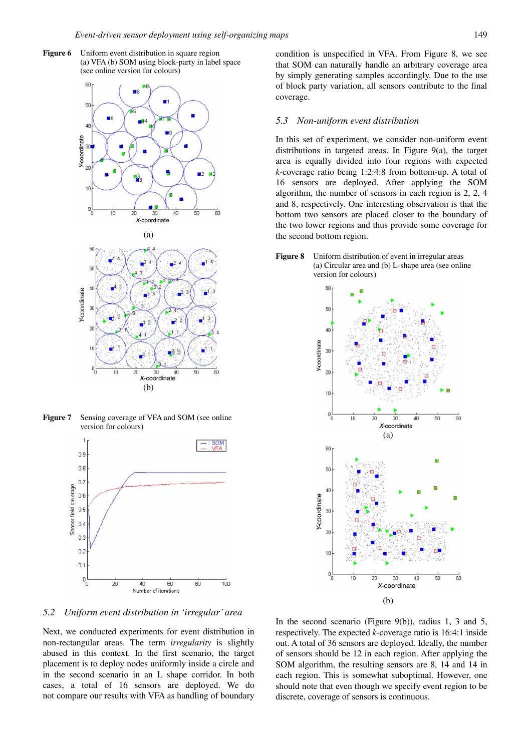**Figure 6** Uniform event distribution in square region (a) VFA (b) SOM using block-party in label space (see online version for colours)





**Figure 7** Sensing coverage of VFA and SOM (see online version for colours)



condition is unspecified in VFA. From Figure 8, we see that SOM can naturally handle an arbitrary coverage area by simply generating samples accordingly. Due to the use of block party variation, all sensors contribute to the final coverage.

#### *5.3 Non-uniform event distribution*

In this set of experiment, we consider non-uniform event distributions in targeted areas. In Figure 9(a), the target area is equally divided into four regions with expected *k*-coverage ratio being 1:2:4:8 from bottom-up. A total of 16 sensors are deployed. After applying the SOM algorithm, the number of sensors in each region is 2, 2, 4 and 8, respectively. One interesting observation is that the bottom two sensors are placed closer to the boundary of the two lower regions and thus provide some coverage for the second bottom region.





# *5.2 Uniform event distribution in 'irregular' area*

Next, we conducted experiments for event distribution in non-rectangular areas. The term *irregularity* is slightly abused in this context. In the first scenario, the target placement is to deploy nodes uniformly inside a circle and in the second scenario in an L shape corridor. In both cases, a total of 16 sensors are deployed. We do not compare our results with VFA as handling of boundary

In the second scenario (Figure 9(b)), radius 1, 3 and 5, respectively. The expected *k*-coverage ratio is 16:4:1 inside out. A total of 36 sensors are deployed. Ideally, the number of sensors should be 12 in each region. After applying the SOM algorithm, the resulting sensors are 8, 14 and 14 in each region. This is somewhat suboptimal. However, one should note that even though we specify event region to be discrete, coverage of sensors is continuous.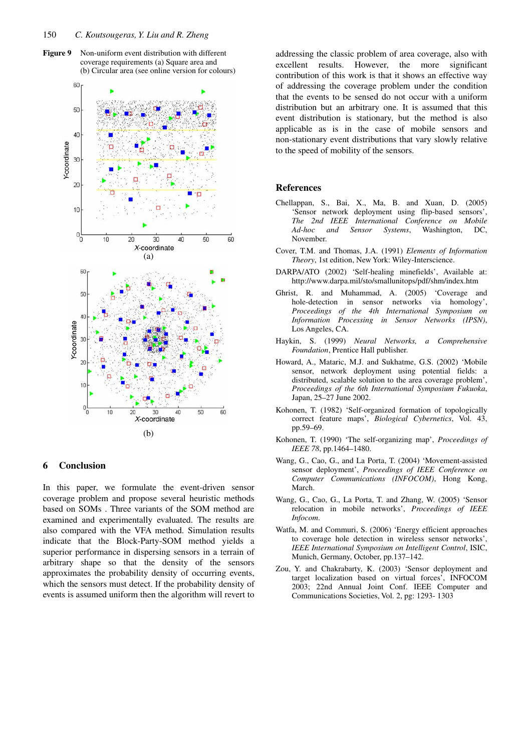**Figure 9** Non-uniform event distribution with different coverage requirements (a) Square area and (b) Circular area (see online version for colours)



#### **6 Conclusion**

In this paper, we formulate the event-driven sensor coverage problem and propose several heuristic methods based on SOMs . Three variants of the SOM method are examined and experimentally evaluated. The results are also compared with the VFA method. Simulation results indicate that the Block-Party-SOM method yields a superior performance in dispersing sensors in a terrain of arbitrary shape so that the density of the sensors approximates the probability density of occurring events, which the sensors must detect. If the probability density of events is assumed uniform then the algorithm will revert to

addressing the classic problem of area coverage, also with excellent results. However, the more significant contribution of this work is that it shows an effective way of addressing the coverage problem under the condition that the events to be sensed do not occur with a uniform distribution but an arbitrary one. It is assumed that this event distribution is stationary, but the method is also applicable as is in the case of mobile sensors and non-stationary event distributions that vary slowly relative to the speed of mobility of the sensors.

#### **References**

- Chellappan, S., Bai, X., Ma, B. and Xuan, D. (2005) 'Sensor network deployment using flip-based sensors', *The 2nd IEEE International Conference on Mobile Ad-hoc and Sensor Systems*, Washington, DC, November.
- Cover, T.M. and Thomas, J.A. (1991) *Elements of Information Theory*, 1st edition, New York: Wiley-Interscience.
- DARPA/ATO (2002) 'Self-healing minefields', Available at: http://www.darpa.mil/sto/smallunitops/pdf/shm/index.htm
- Ghrist, R. and Muhammad, A. (2005) 'Coverage and hole-detection in sensor networks via homology', *Proceedings of the 4th International Symposium on Information Processing in Sensor Networks (IPSN)*, Los Angeles, CA.
- Haykin, S. (1999) *Neural Networks, a Comprehensive Foundation*, Prentice Hall publisher.
- Howard, A., Mataric, M.J. and Sukhatme, G.S. (2002) 'Mobile sensor, network deployment using potential fields: a distributed, scalable solution to the area coverage problem', *Proceedings of the 6th International Symposium Fukuoka*, Japan, 25–27 June 2002.
- Kohonen, T. (1982) 'Self-organized formation of topologically correct feature maps', *Biological Cybernetics*, Vol. 43, pp.59–69.
- Kohonen, T. (1990) 'The self-organizing map', *Proceedings of IEEE 78*, pp.1464–1480.
- Wang, G., Cao, G., and La Porta, T. (2004) 'Movement-assisted sensor deployment', *Proceedings of IEEE Conference on Computer Communications (INFOCOM)*, Hong Kong, March.
- Wang, G., Cao, G., La Porta, T. and Zhang, W. (2005) 'Sensor relocation in mobile networks', *Proceedings of IEEE Infocom*.
- Watfa, M. and Commuri, S. (2006) 'Energy efficient approaches to coverage hole detection in wireless sensor networks', *IEEE International Symposium on Intelligent Control*, ISIC, Munich, Germany, October, pp.137–142.
- Zou, Y. and Chakrabarty, K. (2003) 'Sensor deployment and target localization based on virtual forces', INFOCOM 2003; 22nd Annual Joint Conf. IEEE Computer and Communications Societies, Vol. 2, pg: 1293- 1303